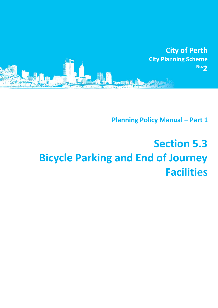

**Planning Policy Manual - Part 1** 

# **Section 5.3 Bicycle Parking and End of Journey Facilities**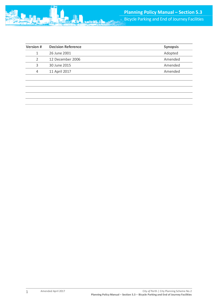| <b>Version #</b> | <b>Decision Reference</b> | <b>Synopsis</b> |
|------------------|---------------------------|-----------------|
|                  | 26 June 2001              | Adopted         |
|                  | 12 December 2006          | Amended         |
| З                | 30 June 2015              | Amended         |
| 4                | 11 April 2017             | Amended         |
|                  |                           |                 |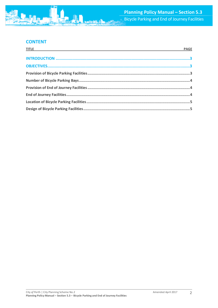## **CONTENT**

| <u>TITLE And the community of the community of the community of the community of the community of the community of the community of the community of the community of the community of the community of the community of the com</u> | <b>PAGE</b> |
|--------------------------------------------------------------------------------------------------------------------------------------------------------------------------------------------------------------------------------------|-------------|
|                                                                                                                                                                                                                                      |             |
|                                                                                                                                                                                                                                      |             |
|                                                                                                                                                                                                                                      |             |
|                                                                                                                                                                                                                                      |             |
|                                                                                                                                                                                                                                      |             |
|                                                                                                                                                                                                                                      |             |
|                                                                                                                                                                                                                                      |             |
|                                                                                                                                                                                                                                      |             |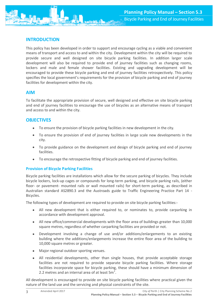

# <span id="page-3-0"></span>**INTRODUCTION**

This policy has been developed in order to support and encourage cycling as a viable and convenient means of transport and access to and within the city. Development within the city will be required to provide secure and well designed on site bicycle parking facilities. In addition larger scale development will also be required to provide end of journey facilities such as changing rooms, lockers and male and female shower facilities. Existing and upgrading development will be encouraged to provide these bicycle parking and end of journey facilities retrospectively. This policy specifies the local government's requirements for the provision of bicycle parking and end of journey facilities for development within the city.

## **AIM**

To facilitate the appropriate provision of secure, well designed and effective on site bicycle parking and end of journey facilities to encourage the use of bicycles as an alternative means of transport and access to and within the city.

## <span id="page-3-1"></span>**OBJECTIVES**

- To ensure the provision of bicycle parking facilities in new development in the city.
- To ensure the provision of end of journey facilities in large scale new developments in the city.
- To provide guidance on the development and design of bicycle parking and end of journey facilities.
- To encourage the retrospective fitting of bicycle parking and end of journey facilities.

## <span id="page-3-2"></span>**Provision of Bicycle Parking Facilities**

Bicycle parking facilities are installations which allow for the secure parking of bicycles. They include bicycle lockers, lock-up cages or compounds for long-term parking, and bicycle parking rails, (either floor- or pavement- mounted rails or wall mounted rails) for short-term parking, as described in Australian standard AS2890.3 and the Austroads guide to Traffic Engineering Practice Part 14 - Bicycles.

The following types of development are required to provide on site bicycle parking facilities:-

- All new development that is either required to, or nominates to, provide carparking in accordance with development approval.
- All new office/commercial developments with the floor area of buildings greater than 10,000 square metres, regardless of whether carparking facilities are provided or not.
- Development involving a change of use and/or additions/enlargements to an existing building where the additions/enlargements increase the entire floor area of the building to 10,000 square metres or greater.
- Major regional outdoor sporting venues.
- All residential developments, other than single houses, that provide acceptable storage facilities are not required to provide separate bicycle parking facilities. Where storage facilities incorporate space for bicycle parking, these should have a minimum dimension of 2.2 metres and an internal area of at least  $5m^2$ .

All development is encouraged to provide on site bicycle parking facilities where practical given the nature of the land use and the servicing and physical constraints of the site.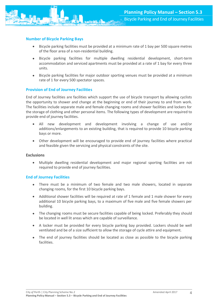

#### <span id="page-4-0"></span>**Number of Bicycle Parking Bays**

- Bicycle parking facilities must be provided at a minimum rate of 1 bay per 500 square metres of the floor area of a non-residential building.
- Bicycle parking facilities for multiple dwelling residential development, short-term accommodation and serviced apartments must be provided at a rate of 1 bay for every three units.
- Bicycle parking facilities for major outdoor sporting venues must be provided at a minimum rate of 1 for every 500 spectator spaces.

#### <span id="page-4-1"></span>**Provision of End of Journey Facilities**

End of Journey facilities are facilities which support the use of bicycle transport by allowing cyclists the opportunity to shower and change at the beginning or end of their journey to and from work. The facilities include separate male and female changing rooms and shower facilities and lockers for the storage of clothing and other personal items. The following types of development are required to provide end of journey facilities.

- All new development and development involving a change of use and/or additions/enlargements to an existing building, that is required to provide 10 bicycle parking bays or more.
- Other development will be encouraged to provide end of journey facilities where practical and feasible given the servicing and physical constraints of the site.

#### **Exclusions**

 Multiple dwelling residential development and major regional sporting facilities are not required to provide end of journey facilities.

#### <span id="page-4-2"></span>**End of Journey Facilities**

- There must be a minimum of two female and two male showers, located in separate changing rooms, for the first 10 bicycle parking bays.
- Additional shower facilities will be required at rate of 1 female and 1 male shower for every additional 10 bicycle parking bays, to a maximum of five male and five female showers per building.
- The changing rooms must be secure facilities capable of being locked. Preferably they should be located in well lit areas which are capable of surveillance.
- A locker must be provided for every bicycle parking bay provided. Lockers should be well ventilated and be of a size sufficient to allow the storage of cycle attire and equipment.
- The end of journey facilities should be located as close as possible to the bicycle parking facilities.